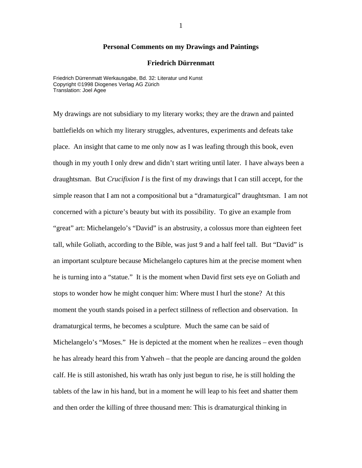## **Personal Comments on my Drawings and Paintings**

## **Friedrich Dürrenmatt**

Friedrich Dürrenmatt Werkausgabe, Bd. 32: Literatur und Kunst Copyright ©1998 Diogenes Verlag AG Zürich Translation: Joel Agee

My drawings are not subsidiary to my literary works; they are the drawn and painted battlefields on which my literary struggles, adventures, experiments and defeats take place. An insight that came to me only now as I was leafing through this book, even though in my youth I only drew and didn't start writing until later. I have always been a draughtsman. But *Crucifixion I* is the first of my drawings that I can still accept, for the simple reason that I am not a compositional but a "dramaturgical" draughtsman. I am not concerned with a picture's beauty but with its possibility. To give an example from "great" art: Michelangelo's "David" is an abstrusity, a colossus more than eighteen feet tall, while Goliath, according to the Bible, was just 9 and a half feel tall. But "David" is an important sculpture because Michelangelo captures him at the precise moment when he is turning into a "statue." It is the moment when David first sets eye on Goliath and stops to wonder how he might conquer him: Where must I hurl the stone? At this moment the youth stands poised in a perfect stillness of reflection and observation. In dramaturgical terms, he becomes a sculpture. Much the same can be said of Michelangelo's "Moses." He is depicted at the moment when he realizes – even though he has already heard this from Yahweh – that the people are dancing around the golden calf. He is still astonished, his wrath has only just begun to rise, he is still holding the tablets of the law in his hand, but in a moment he will leap to his feet and shatter them and then order the killing of three thousand men: This is dramaturgical thinking in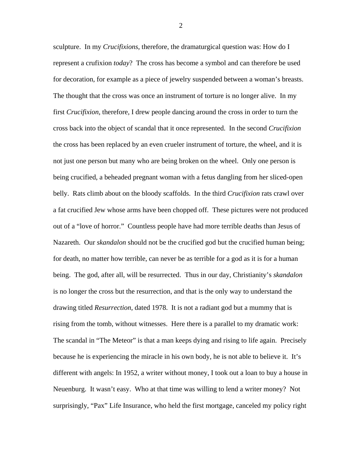sculpture. In my *Crucifixions*, therefore, the dramaturgical question was: How do I represent a crufixion *today*? The cross has become a symbol and can therefore be used for decoration, for example as a piece of jewelry suspended between a woman's breasts. The thought that the cross was once an instrument of torture is no longer alive. In my first *Crucifixion*, therefore, I drew people dancing around the cross in order to turn the cross back into the object of scandal that it once represented. In the second *Crucifixion* the cross has been replaced by an even crueler instrument of torture, the wheel, and it is not just one person but many who are being broken on the wheel. Only one person is being crucified, a beheaded pregnant woman with a fetus dangling from her sliced-open belly. Rats climb about on the bloody scaffolds. In the third *Crucifixion* rats crawl over a fat crucified Jew whose arms have been chopped off. These pictures were not produced out of a "love of horror." Countless people have had more terrible deaths than Jesus of Nazareth. Our *skandalon* should not be the crucified god but the crucified human being; for death, no matter how terrible, can never be as terrible for a god as it is for a human being. The god, after all, will be resurrected. Thus in our day, Christianity's *skandalon*  is no longer the cross but the resurrection, and that is the only way to understand the drawing titled *Resurrection*, dated 1978. It is not a radiant god but a mummy that is rising from the tomb, without witnesses. Here there is a parallel to my dramatic work: The scandal in "The Meteor" is that a man keeps dying and rising to life again. Precisely because he is experiencing the miracle in his own body, he is not able to believe it. It's different with angels: In 1952, a writer without money, I took out a loan to buy a house in Neuenburg. It wasn't easy. Who at that time was willing to lend a writer money? Not surprisingly, "Pax" Life Insurance, who held the first mortgage, canceled my policy right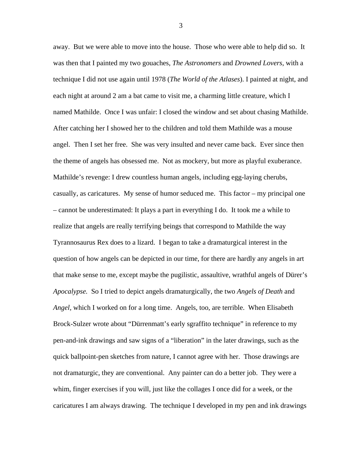away. But we were able to move into the house. Those who were able to help did so. It was then that I painted my two gouaches, *The Astronomers* and *Drowned Lovers*, with a technique I did not use again until 1978 (*The World of the Atlases*). I painted at night, and each night at around 2 am a bat came to visit me, a charming little creature, which I named Mathilde. Once I was unfair: I closed the window and set about chasing Mathilde. After catching her I showed her to the children and told them Mathilde was a mouse angel. Then I set her free. She was very insulted and never came back. Ever since then the theme of angels has obsessed me. Not as mockery, but more as playful exuberance. Mathilde's revenge: I drew countless human angels, including egg-laying cherubs, casually, as caricatures. My sense of humor seduced me. This factor – my principal one – cannot be underestimated: It plays a part in everything I do. It took me a while to realize that angels are really terrifying beings that correspond to Mathilde the way Tyrannosaurus Rex does to a lizard. I began to take a dramaturgical interest in the question of how angels can be depicted in our time, for there are hardly any angels in art that make sense to me, except maybe the pugilistic, assaultive, wrathful angels of Dürer's *Apocalypse.* So I tried to depict angels dramaturgically, the two *Angels of Death* and *Angel*, which I worked on for a long time. Angels, too, are terrible. When Elisabeth Brock-Sulzer wrote about "Dürrenmatt's early sgraffito technique" in reference to my pen-and-ink drawings and saw signs of a "liberation" in the later drawings, such as the quick ballpoint-pen sketches from nature, I cannot agree with her. Those drawings are not dramaturgic, they are conventional. Any painter can do a better job. They were a whim, finger exercises if you will, just like the collages I once did for a week, or the caricatures I am always drawing. The technique I developed in my pen and ink drawings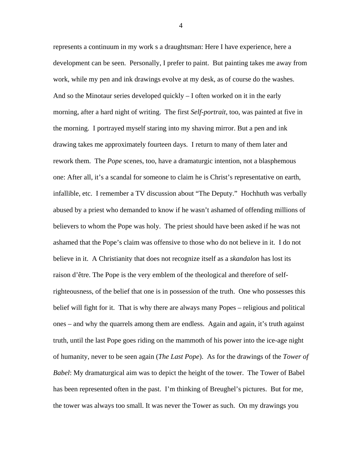represents a continuum in my work s a draughtsman: Here I have experience, here a development can be seen. Personally, I prefer to paint. But painting takes me away from work, while my pen and ink drawings evolve at my desk, as of course do the washes. And so the Minotaur series developed quickly – I often worked on it in the early morning, after a hard night of writing. The first *Self-portrait*, too, was painted at five in the morning. I portrayed myself staring into my shaving mirror. But a pen and ink drawing takes me approximately fourteen days. I return to many of them later and rework them. The *Pope* scenes, too, have a dramaturgic intention, not a blasphemous one: After all, it's a scandal for someone to claim he is Christ's representative on earth, infallible, etc. I remember a TV discussion about "The Deputy." Hochhuth was verbally abused by a priest who demanded to know if he wasn't ashamed of offending millions of believers to whom the Pope was holy. The priest should have been asked if he was not ashamed that the Pope's claim was offensive to those who do not believe in it. I do not believe in it. A Christianity that does not recognize itself as a *skandalon* has lost its raison d'être. The Pope is the very emblem of the theological and therefore of selfrighteousness, of the belief that one is in possession of the truth. One who possesses this belief will fight for it. That is why there are always many Popes – religious and political ones – and why the quarrels among them are endless. Again and again, it's truth against truth, until the last Pope goes riding on the mammoth of his power into the ice-age night of humanity, never to be seen again (*The Last Pope*). As for the drawings of the *Tower of Babel*: My dramaturgical aim was to depict the height of the tower. The Tower of Babel has been represented often in the past. I'm thinking of Breughel's pictures. But for me, the tower was always too small. It was never the Tower as such. On my drawings you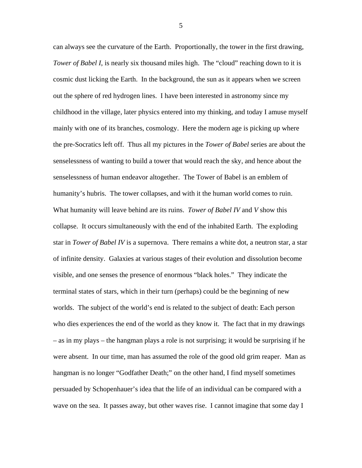can always see the curvature of the Earth. Proportionally, the tower in the first drawing, *Tower of Babel I*, is nearly six thousand miles high. The "cloud" reaching down to it is cosmic dust licking the Earth. In the background, the sun as it appears when we screen out the sphere of red hydrogen lines. I have been interested in astronomy since my childhood in the village, later physics entered into my thinking, and today I amuse myself mainly with one of its branches, cosmology. Here the modern age is picking up where the pre-Socratics left off. Thus all my pictures in the *Tower of Babel* series are about the senselessness of wanting to build a tower that would reach the sky, and hence about the senselessness of human endeavor altogether. The Tower of Babel is an emblem of humanity's hubris. The tower collapses, and with it the human world comes to ruin. What humanity will leave behind are its ruins. *Tower of Babel IV* and *V* show this collapse. It occurs simultaneously with the end of the inhabited Earth. The exploding star in *Tower of Babel IV* is a supernova. There remains a white dot, a neutron star, a star of infinite density. Galaxies at various stages of their evolution and dissolution become visible, and one senses the presence of enormous "black holes." They indicate the terminal states of stars, which in their turn (perhaps) could be the beginning of new worlds. The subject of the world's end is related to the subject of death: Each person who dies experiences the end of the world as they know it. The fact that in my drawings – as in my plays – the hangman plays a role is not surprising; it would be surprising if he were absent. In our time, man has assumed the role of the good old grim reaper. Man as hangman is no longer "Godfather Death;" on the other hand, I find myself sometimes persuaded by Schopenhauer's idea that the life of an individual can be compared with a wave on the sea. It passes away, but other waves rise. I cannot imagine that some day I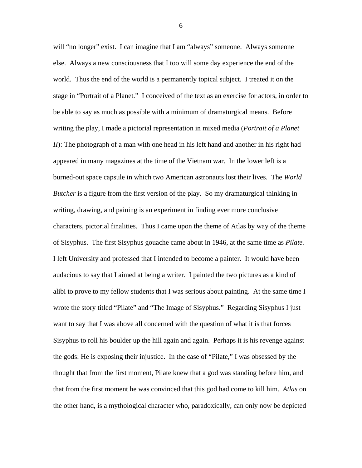will "no longer" exist. I can imagine that I am "always" someone. Always someone else. Always a new consciousness that I too will some day experience the end of the world. Thus the end of the world is a permanently topical subject. I treated it on the stage in "Portrait of a Planet." I conceived of the text as an exercise for actors, in order to be able to say as much as possible with a minimum of dramaturgical means. Before writing the play, I made a pictorial representation in mixed media (*Portrait of a Planet II*): The photograph of a man with one head in his left hand and another in his right had appeared in many magazines at the time of the Vietnam war. In the lower left is a burned-out space capsule in which two American astronauts lost their lives. The *World Butcher* is a figure from the first version of the play. So my dramaturgical thinking in writing, drawing, and paining is an experiment in finding ever more conclusive characters, pictorial finalities. Thus I came upon the theme of Atlas by way of the theme of Sisyphus. The first Sisyphus gouache came about in 1946, at the same time as *Pilate.*  I left University and professed that I intended to become a painter. It would have been audacious to say that I aimed at being a writer. I painted the two pictures as a kind of alibi to prove to my fellow students that I was serious about painting. At the same time I wrote the story titled "Pilate" and "The Image of Sisyphus." Regarding Sisyphus I just want to say that I was above all concerned with the question of what it is that forces Sisyphus to roll his boulder up the hill again and again. Perhaps it is his revenge against the gods: He is exposing their injustice. In the case of "Pilate," I was obsessed by the thought that from the first moment, Pilate knew that a god was standing before him, and that from the first moment he was convinced that this god had come to kill him. *Atlas* on the other hand, is a mythological character who, paradoxically, can only now be depicted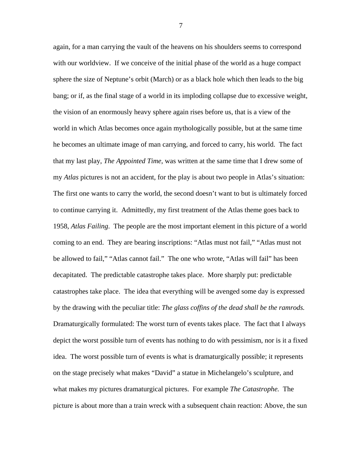again, for a man carrying the vault of the heavens on his shoulders seems to correspond with our worldview. If we conceive of the initial phase of the world as a huge compact sphere the size of Neptune's orbit (March) or as a black hole which then leads to the big bang; or if, as the final stage of a world in its imploding collapse due to excessive weight, the vision of an enormously heavy sphere again rises before us, that is a view of the world in which Atlas becomes once again mythologically possible, but at the same time he becomes an ultimate image of man carrying, and forced to carry, his world. The fact that my last play, *The Appointed Time*, was written at the same time that I drew some of my *Atlas* pictures is not an accident, for the play is about two people in Atlas's situation: The first one wants to carry the world, the second doesn't want to but is ultimately forced to continue carrying it. Admittedly, my first treatment of the Atlas theme goes back to 1958, *Atlas Failing*. The people are the most important element in this picture of a world coming to an end. They are bearing inscriptions: "Atlas must not fail," "Atlas must not be allowed to fail," "Atlas cannot fail." The one who wrote, "Atlas will fail" has been decapitated. The predictable catastrophe takes place. More sharply put: predictable catastrophes take place. The idea that everything will be avenged some day is expressed by the drawing with the peculiar title: *The glass coffins of the dead shall be the ramrods.*  Dramaturgically formulated: The worst turn of events takes place. The fact that I always depict the worst possible turn of events has nothing to do with pessimism, nor is it a fixed idea. The worst possible turn of events is what is dramaturgically possible; it represents on the stage precisely what makes "David" a statue in Michelangelo's sculpture, and what makes my pictures dramaturgical pictures. For example *The Catastrophe.* The picture is about more than a train wreck with a subsequent chain reaction: Above, the sun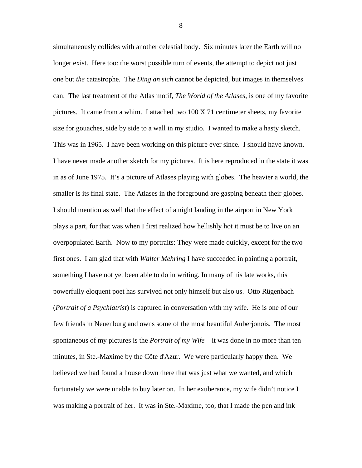simultaneously collides with another celestial body. Six minutes later the Earth will no longer exist. Here too: the worst possible turn of events, the attempt to depict not just one but *the* catastrophe. The *Ding an sich* cannot be depicted, but images in themselves can. The last treatment of the Atlas motif, *The World of the Atlases*, is one of my favorite pictures. It came from a whim. I attached two 100 X 71 centimeter sheets, my favorite size for gouaches, side by side to a wall in my studio. I wanted to make a hasty sketch. This was in 1965. I have been working on this picture ever since. I should have known. I have never made another sketch for my pictures. It is here reproduced in the state it was in as of June 1975. It's a picture of Atlases playing with globes. The heavier a world, the smaller is its final state. The Atlases in the foreground are gasping beneath their globes. I should mention as well that the effect of a night landing in the airport in New York plays a part, for that was when I first realized how hellishly hot it must be to live on an overpopulated Earth. Now to my portraits: They were made quickly, except for the two first ones. I am glad that with *Walter Mehring* I have succeeded in painting a portrait, something I have not yet been able to do in writing. In many of his late works, this powerfully eloquent poet has survived not only himself but also us. Otto Rügenbach (*Portrait of a Psychiatrist*) is captured in conversation with my wife. He is one of our few friends in Neuenburg and owns some of the most beautiful Auberjonois. The most spontaneous of my pictures is the *Portrait of my Wife* – it was done in no more than ten minutes, in Ste.-Maxime by the Côte d'Azur. We were particularly happy then. We believed we had found a house down there that was just what we wanted, and which fortunately we were unable to buy later on. In her exuberance, my wife didn't notice I was making a portrait of her. It was in Ste.-Maxime, too, that I made the pen and ink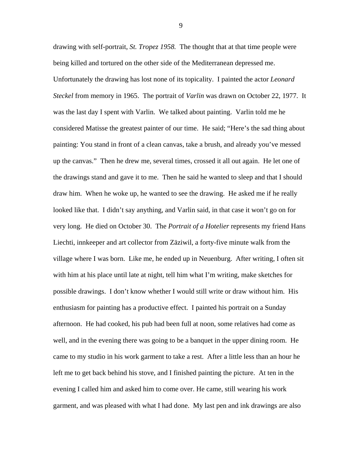drawing with self-portrait, *St. Tropez 1958.* The thought that at that time people were being killed and tortured on the other side of the Mediterranean depressed me. Unfortunately the drawing has lost none of its topicality. I painted the actor *Leonard Steckel* from memory in 1965. The portrait of *Varlin* was drawn on October 22, 1977. It was the last day I spent with Varlin. We talked about painting. Varlin told me he considered Matisse the greatest painter of our time. He said; "Here's the sad thing about painting: You stand in front of a clean canvas, take a brush, and already you've messed up the canvas." Then he drew me, several times, crossed it all out again. He let one of the drawings stand and gave it to me. Then he said he wanted to sleep and that I should draw him. When he woke up, he wanted to see the drawing. He asked me if he really looked like that. I didn't say anything, and Varlin said, in that case it won't go on for very long. He died on October 30. The *Portrait of a Hotelier* represents my friend Hans Liechti, innkeeper and art collector from Zäziwil, a forty-five minute walk from the village where I was born. Like me, he ended up in Neuenburg. After writing, I often sit with him at his place until late at night, tell him what I'm writing, make sketches for possible drawings. I don't know whether I would still write or draw without him. His enthusiasm for painting has a productive effect. I painted his portrait on a Sunday afternoon. He had cooked, his pub had been full at noon, some relatives had come as well, and in the evening there was going to be a banquet in the upper dining room. He came to my studio in his work garment to take a rest. After a little less than an hour he left me to get back behind his stove, and I finished painting the picture. At ten in the evening I called him and asked him to come over. He came, still wearing his work garment, and was pleased with what I had done. My last pen and ink drawings are also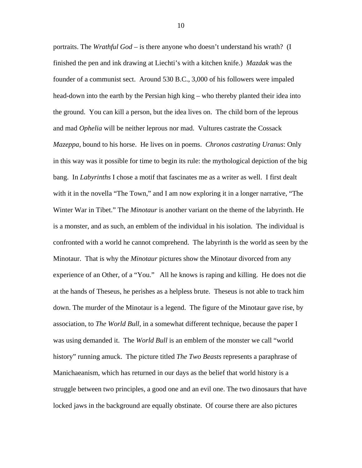portraits. The *Wrathful God* – is there anyone who doesn't understand his wrath? (I finished the pen and ink drawing at Liechti's with a kitchen knife.) *Mazdak* was the founder of a communist sect. Around 530 B.C., 3,000 of his followers were impaled head-down into the earth by the Persian high king – who thereby planted their idea into the ground. You can kill a person, but the idea lives on. The child born of the leprous and mad *Ophelia* will be neither leprous nor mad. Vultures castrate the Cossack *Mazeppa*, bound to his horse. He lives on in poems. *Chronos castrating Uranus*: Only in this way was it possible for time to begin its rule: the mythological depiction of the big bang. In *Labyrinths* I chose a motif that fascinates me as a writer as well. I first dealt with it in the novella "The Town," and I am now exploring it in a longer narrative, "The Winter War in Tibet." The *Minotaur* is another variant on the theme of the labyrinth. He is a monster, and as such, an emblem of the individual in his isolation. The individual is confronted with a world he cannot comprehend. The labyrinth is the world as seen by the Minotaur. That is why the *Minotaur* pictures show the Minotaur divorced from any experience of an Other, of a "You." All he knows is raping and killing. He does not die at the hands of Theseus, he perishes as a helpless brute. Theseus is not able to track him down. The murder of the Minotaur is a legend. The figure of the Minotaur gave rise, by association, to *The World Bull,* in a somewhat different technique, because the paper I was using demanded it. The *World Bull* is an emblem of the monster we call "world history" running amuck. The picture titled *The Two Beasts* represents a paraphrase of Manichaeanism, which has returned in our days as the belief that world history is a struggle between two principles, a good one and an evil one. The two dinosaurs that have locked jaws in the background are equally obstinate. Of course there are also pictures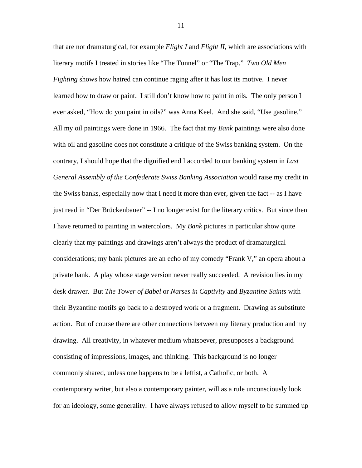that are not dramaturgical, for example *Flight I* and *Flight II*, which are associations with literary motifs I treated in stories like "The Tunnel" or "The Trap." *Two Old Men Fighting* shows how hatred can continue raging after it has lost its motive. I never learned how to draw or paint. I still don't know how to paint in oils. The only person I ever asked, "How do you paint in oils?" was Anna Keel. And she said, "Use gasoline." All my oil paintings were done in 1966. The fact that my *Bank* paintings were also done with oil and gasoline does not constitute a critique of the Swiss banking system. On the contrary, I should hope that the dignified end I accorded to our banking system in *Last General Assembly of the Confederate Swiss Banking Association* would raise my credit in the Swiss banks, especially now that I need it more than ever, given the fact -- as I have just read in "Der Brückenbauer" -- I no longer exist for the literary critics. But since then I have returned to painting in watercolors. My *Bank* pictures in particular show quite clearly that my paintings and drawings aren't always the product of dramaturgical considerations; my bank pictures are an echo of my comedy "Frank V," an opera about a private bank. A play whose stage version never really succeeded. A revision lies in my desk drawer. But *The Tower of Babel* or *Narses in Captivity* and *Byzantine Saints* with their Byzantine motifs go back to a destroyed work or a fragment. Drawing as substitute action. But of course there are other connections between my literary production and my drawing. All creativity, in whatever medium whatsoever, presupposes a background consisting of impressions, images, and thinking. This background is no longer commonly shared, unless one happens to be a leftist, a Catholic, or both. A contemporary writer, but also a contemporary painter, will as a rule unconsciously look for an ideology, some generality. I have always refused to allow myself to be summed up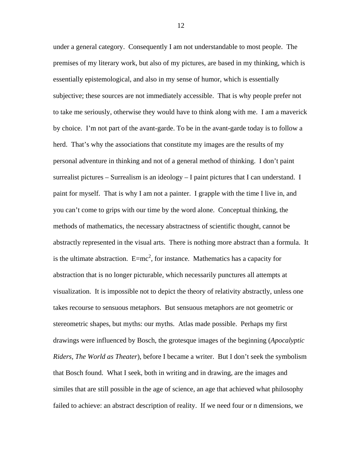under a general category. Consequently I am not understandable to most people. The premises of my literary work, but also of my pictures, are based in my thinking, which is essentially epistemological, and also in my sense of humor, which is essentially subjective; these sources are not immediately accessible. That is why people prefer not to take me seriously, otherwise they would have to think along with me. I am a maverick by choice. I'm not part of the avant-garde. To be in the avant-garde today is to follow a herd. That's why the associations that constitute my images are the results of my personal adventure in thinking and not of a general method of thinking. I don't paint surrealist pictures – Surrealism is an ideology – I paint pictures that I can understand. I paint for myself. That is why I am not a painter. I grapple with the time I live in, and you can't come to grips with our time by the word alone. Conceptual thinking, the methods of mathematics, the necessary abstractness of scientific thought, cannot be abstractly represented in the visual arts. There is nothing more abstract than a formula. It is the ultimate abstraction.  $E=mc^2$ , for instance. Mathematics has a capacity for abstraction that is no longer picturable, which necessarily punctures all attempts at visualization. It is impossible not to depict the theory of relativity abstractly, unless one takes recourse to sensuous metaphors. But sensuous metaphors are not geometric or stereometric shapes, but myths: our myths. Atlas made possible. Perhaps my first drawings were influenced by Bosch, the grotesque images of the beginning (*Apocalyptic Riders, The World as Theater*), before I became a writer. But I don't seek the symbolism that Bosch found. What I seek, both in writing and in drawing, are the images and similes that are still possible in the age of science, an age that achieved what philosophy failed to achieve: an abstract description of reality. If we need four or n dimensions, we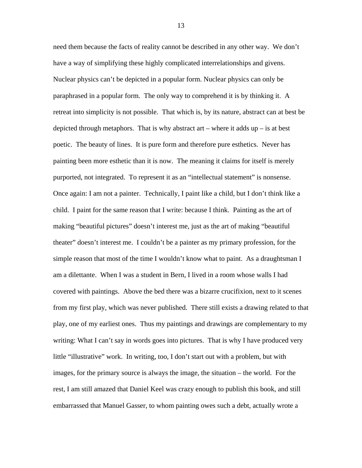need them because the facts of reality cannot be described in any other way. We don't have a way of simplifying these highly complicated interrelationships and givens. Nuclear physics can't be depicted in a popular form. Nuclear physics can only be paraphrased in a popular form. The only way to comprehend it is by thinking it. A retreat into simplicity is not possible. That which is, by its nature, abstract can at best be depicted through metaphors. That is why abstract art – where it adds up – is at best poetic. The beauty of lines. It is pure form and therefore pure esthetics. Never has painting been more esthetic than it is now. The meaning it claims for itself is merely purported, not integrated. To represent it as an "intellectual statement" is nonsense. Once again: I am not a painter. Technically, I paint like a child, but I don't think like a child. I paint for the same reason that I write: because I think. Painting as the art of making "beautiful pictures" doesn't interest me, just as the art of making "beautiful theater" doesn't interest me. I couldn't be a painter as my primary profession, for the simple reason that most of the time I wouldn't know what to paint. As a draughtsman I am a dilettante. When I was a student in Bern, I lived in a room whose walls I had covered with paintings. Above the bed there was a bizarre crucifixion, next to it scenes from my first play, which was never published. There still exists a drawing related to that play, one of my earliest ones. Thus my paintings and drawings are complementary to my writing: What I can't say in words goes into pictures. That is why I have produced very little "illustrative" work. In writing, too, I don't start out with a problem, but with images, for the primary source is always the image, the situation – the world. For the rest, I am still amazed that Daniel Keel was crazy enough to publish this book, and still embarrassed that Manuel Gasser, to whom painting owes such a debt, actually wrote a